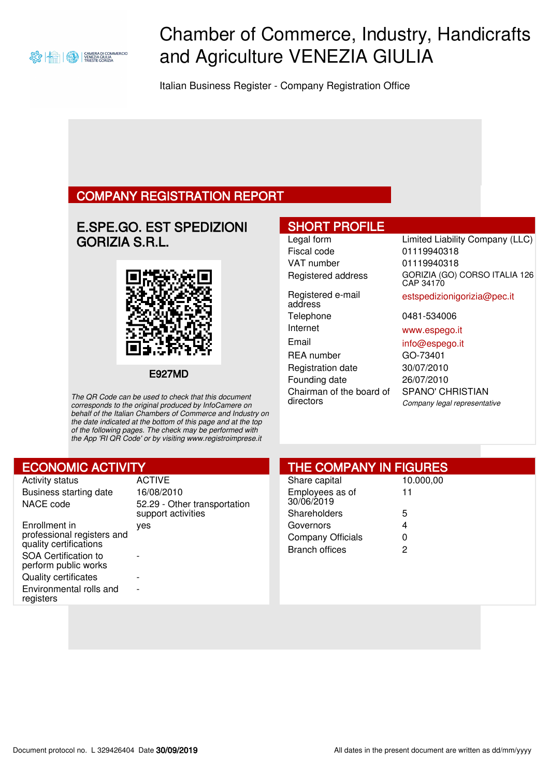

# Chamber of Commerce, Industry, Handicrafts and Agriculture VENEZIA GIULIA

Italian Business Register - Company Registration Office

### COMPANY REGISTRATION REPORT

### E.SPE.GO. EST SPEDIZIONI GORIZIA S.R.L.



E927MD

The QR Code can be used to check that this document corresponds to the original produced by InfoCamere on behalf of the Italian Chambers of Commerce and Industry on the date indicated at the bottom of this page and at the top of the following pages. The check may be performed with the App 'RI QR Code' or by visiting www.registroimprese.it

### SHORT PROFILE

Fiscal code 01119940318 VAT number 01119940318

Registered e-mail address Telephone 0481-534006 Internet www.espego.it Email info@espego.it

Registration date 30/07/2010 Founding date 26/07/2010 Chairman of the board of directors

## Legal form Limited Liability Company (LLC) Registered address GORIZIA (GO) CORSO ITALIA 126 CAP 34170

estspedizionigorizia@pec.it

REA number **GO-73401** SPANO' CHRISTIAN Company legal representative

| <b>ECONOMIC ACTIVITY</b>                                                                                                                                                                            |                                                                                   | <b>THE COMPANY IN FIGURES</b>                                  |                      |  |
|-----------------------------------------------------------------------------------------------------------------------------------------------------------------------------------------------------|-----------------------------------------------------------------------------------|----------------------------------------------------------------|----------------------|--|
| <b>Activity status</b><br>Business starting date<br>NACE code                                                                                                                                       | <b>ACTIVE</b><br>16/08/2010<br>52.29 - Other transportation<br>support activities | Share capital<br>Employees as of<br>30/06/2019<br>Shareholders | 10.000,00<br>11<br>5 |  |
| Enrollment in<br>professional registers and<br>quality certifications<br><b>SOA Certification to</b><br>perform public works<br><b>Quality certificates</b><br>Environmental rolls and<br>registers | ves<br>$\overline{\phantom{0}}$<br>$\overline{\phantom{a}}$                       | Governors<br>Company Officials<br><b>Branch offices</b>        | 4<br>0<br>2          |  |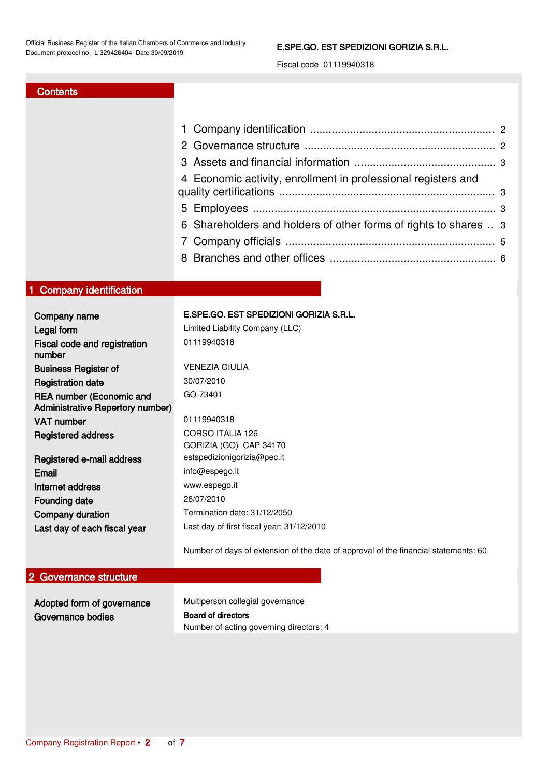#### E.SPE.GO. EST SPEDIZIONI GORIZIA S.R.L.

Fiscal code 01119940318

### **Contents**

| 4 Economic activity, enrollment in professional registers and    |  |
|------------------------------------------------------------------|--|
|                                                                  |  |
| 6 Shareholders and holders of other forms of rights to shares  3 |  |
|                                                                  |  |
|                                                                  |  |
|                                                                  |  |

### <span id="page-1-0"></span>1 Company identification

| Company name                                                               | E.SPE.GO. EST SPEDIZIONI GORIZIA S.R.L.                                             |
|----------------------------------------------------------------------------|-------------------------------------------------------------------------------------|
| Legal form                                                                 | Limited Liability Company (LLC)                                                     |
| Fiscal code and registration<br>number                                     | 01119940318                                                                         |
| <b>Business Register of</b>                                                | <b>VENEZIA GIULIA</b>                                                               |
| <b>Registration date</b>                                                   | 30/07/2010                                                                          |
| <b>REA number (Economic and</b><br><b>Administrative Repertory number)</b> | GO-73401                                                                            |
| <b>VAT number</b>                                                          | 01119940318                                                                         |
| <b>Registered address</b>                                                  | <b>CORSO ITALIA 126</b>                                                             |
|                                                                            | GORIZIA (GO) CAP 34170                                                              |
| Registered e-mail address                                                  | estspedizionigorizia@pec.it                                                         |
| Email                                                                      | info@espego.it                                                                      |
| Internet address                                                           | www.espego.it                                                                       |
| Founding date                                                              | 26/07/2010                                                                          |
| Company duration                                                           | Termination date: 31/12/2050                                                        |
| Last day of each fiscal year                                               | Last day of first fiscal year: 31/12/2010                                           |
|                                                                            | Number of days of extension of the date of approval of the financial statements: 60 |

### <span id="page-1-1"></span>2 Governance structure

| Adopted form of governance | Multiperson collegial governance        |  |  |  |
|----------------------------|-----------------------------------------|--|--|--|
| Governance bodies          | <b>Board of directors</b>               |  |  |  |
|                            | Number of acting governing directors: 4 |  |  |  |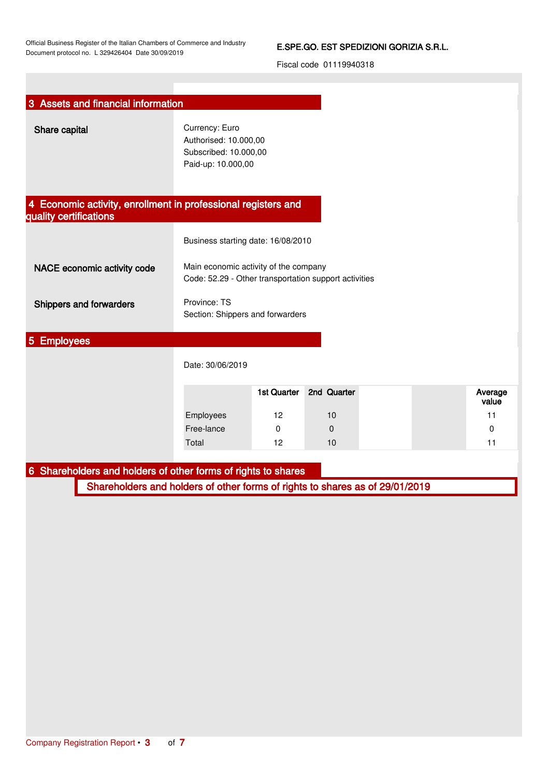### E.SPE.GO. EST SPEDIZIONI GORIZIA S.R.L.

<span id="page-2-3"></span><span id="page-2-2"></span><span id="page-2-1"></span><span id="page-2-0"></span>

| 3 Assets and financial information                                           |                                                                                                |                    |             |  |                  |
|------------------------------------------------------------------------------|------------------------------------------------------------------------------------------------|--------------------|-------------|--|------------------|
| Share capital                                                                | Currency: Euro<br>Authorised: 10.000,00<br>Subscribed: 10.000,00<br>Paid-up: 10.000,00         |                    |             |  |                  |
| 4 Economic activity, enrollment in professional registers and                |                                                                                                |                    |             |  |                  |
| quality certifications                                                       |                                                                                                |                    |             |  |                  |
|                                                                              | Business starting date: 16/08/2010                                                             |                    |             |  |                  |
| NACE economic activity code                                                  | Main economic activity of the company<br>Code: 52.29 - Other transportation support activities |                    |             |  |                  |
| Shippers and forwarders                                                      | Province: TS<br>Section: Shippers and forwarders                                               |                    |             |  |                  |
| 5 Employees                                                                  |                                                                                                |                    |             |  |                  |
|                                                                              | Date: 30/06/2019                                                                               |                    |             |  |                  |
|                                                                              |                                                                                                | <b>1st Quarter</b> | 2nd Quarter |  | Average<br>value |
|                                                                              | Employees                                                                                      | 12                 | 10          |  | 11               |
|                                                                              | Free-lance                                                                                     | 0                  | 0           |  | 0                |
|                                                                              | Total                                                                                          | 12                 | 10          |  | 11               |
| 6 Shareholders and holders of other forms of rights to shares                |                                                                                                |                    |             |  |                  |
| Shareholders and holders of other forms of rights to shares as of 29/01/2019 |                                                                                                |                    |             |  |                  |
|                                                                              |                                                                                                |                    |             |  |                  |
|                                                                              |                                                                                                |                    |             |  |                  |
|                                                                              |                                                                                                |                    |             |  |                  |
|                                                                              |                                                                                                |                    |             |  |                  |
|                                                                              |                                                                                                |                    |             |  |                  |
|                                                                              |                                                                                                |                    |             |  |                  |
|                                                                              |                                                                                                |                    |             |  |                  |
|                                                                              |                                                                                                |                    |             |  |                  |
|                                                                              |                                                                                                |                    |             |  |                  |
|                                                                              |                                                                                                |                    |             |  |                  |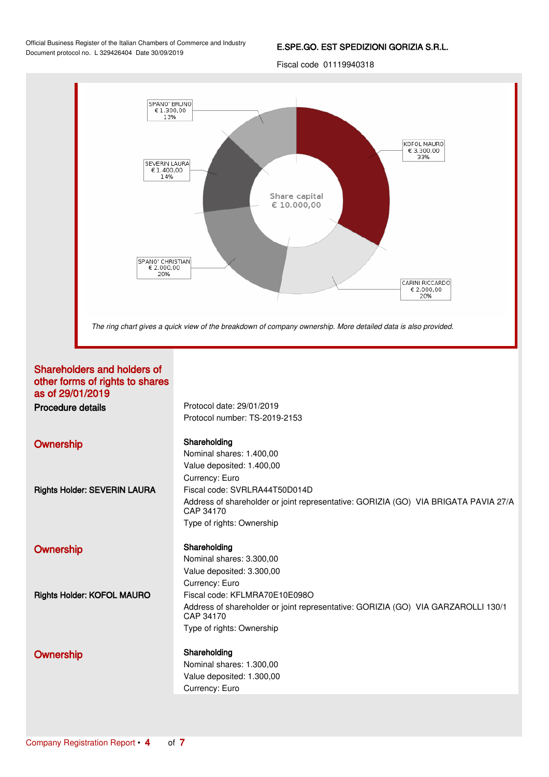#### E.SPE.GO. EST SPEDIZIONI GORIZIA S.R.L.

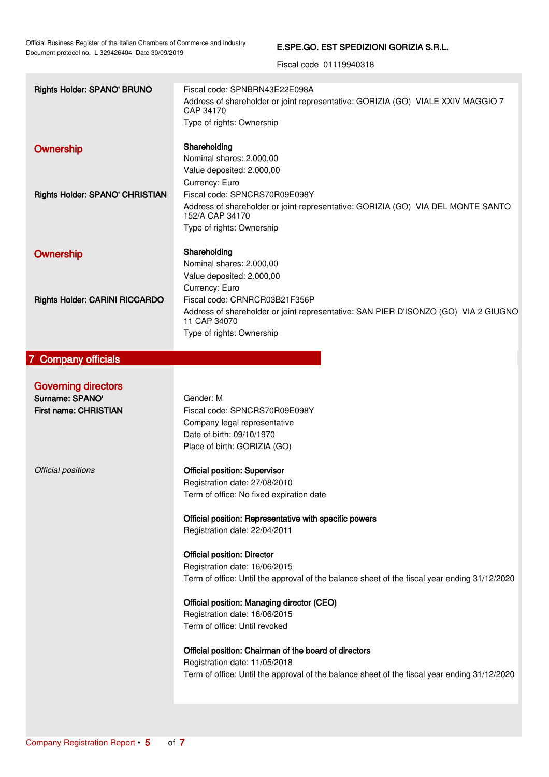### E.SPE.GO. EST SPEDIZIONI GORIZIA S.R.L.

<span id="page-4-0"></span>

| Rights Holder: SPANO' BRUNO            | Fiscal code: SPNBRN43E22E098A                                                                |
|----------------------------------------|----------------------------------------------------------------------------------------------|
|                                        | Address of shareholder or joint representative: GORIZIA (GO) VIALE XXIV MAGGIO 7             |
|                                        | CAP 34170                                                                                    |
|                                        | Type of rights: Ownership                                                                    |
|                                        |                                                                                              |
| Ownership                              | Shareholding                                                                                 |
|                                        | Nominal shares: 2.000,00                                                                     |
|                                        | Value deposited: 2.000,00                                                                    |
|                                        | Currency: Euro                                                                               |
| <b>Rights Holder: SPANO' CHRISTIAN</b> | Fiscal code: SPNCRS70R09E098Y                                                                |
|                                        | Address of shareholder or joint representative: GORIZIA (GO) VIA DEL MONTE SANTO             |
|                                        | 152/A CAP 34170                                                                              |
|                                        | Type of rights: Ownership                                                                    |
|                                        |                                                                                              |
| Ownership                              | Shareholding                                                                                 |
|                                        | Nominal shares: 2.000,00                                                                     |
|                                        | Value deposited: 2.000,00                                                                    |
|                                        | Currency: Euro                                                                               |
| <b>Rights Holder: CARINI RICCARDO</b>  | Fiscal code: CRNRCR03B21F356P                                                                |
|                                        | Address of shareholder or joint representative: SAN PIER D'ISONZO (GO) VIA 2 GIUGNO          |
|                                        | 11 CAP 34070                                                                                 |
|                                        | Type of rights: Ownership                                                                    |
|                                        |                                                                                              |
| 7 Company officials                    |                                                                                              |
|                                        |                                                                                              |
| <b>Governing directors</b>             |                                                                                              |
|                                        |                                                                                              |
| Surname: SPANO'                        | Gender: M                                                                                    |
| First name: CHRISTIAN                  | Fiscal code: SPNCRS70R09E098Y                                                                |
|                                        |                                                                                              |
|                                        | Company legal representative                                                                 |
|                                        | Date of birth: 09/10/1970                                                                    |
|                                        | Place of birth: GORIZIA (GO)                                                                 |
|                                        |                                                                                              |
| Official positions                     | <b>Official position: Supervisor</b>                                                         |
|                                        | Registration date: 27/08/2010                                                                |
|                                        | Term of office: No fixed expiration date                                                     |
|                                        |                                                                                              |
|                                        | Official position: Representative with specific powers                                       |
|                                        | Registration date: 22/04/2011                                                                |
|                                        |                                                                                              |
|                                        | <b>Official position: Director</b>                                                           |
|                                        | Registration date: 16/06/2015                                                                |
|                                        | Term of office: Until the approval of the balance sheet of the fiscal year ending 31/12/2020 |
|                                        |                                                                                              |
|                                        | Official position: Managing director (CEO)                                                   |
|                                        | Registration date: 16/06/2015                                                                |
|                                        | Term of office: Until revoked                                                                |
|                                        |                                                                                              |
|                                        | Official position: Chairman of the board of directors                                        |
|                                        | Registration date: 11/05/2018                                                                |
|                                        | Term of office: Until the approval of the balance sheet of the fiscal year ending 31/12/2020 |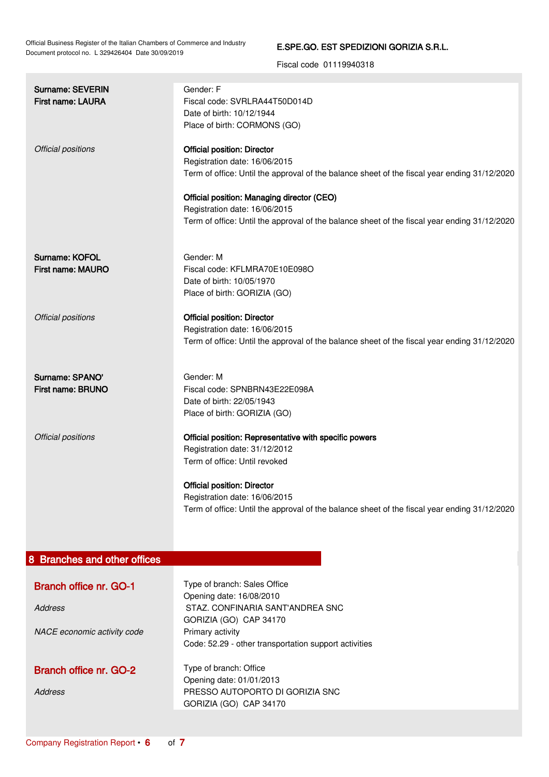### E.SPE.GO. EST SPEDIZIONI GORIZIA S.R.L.

<span id="page-5-0"></span>

| <b>Surname: SEVERIN</b><br><b>First name: LAURA</b>                            | Gender: F<br>Fiscal code: SVRLRA44T50D014D<br>Date of birth: 10/12/1944<br>Place of birth: CORMONS (GO)                                                                                                                                                                                                                                            |
|--------------------------------------------------------------------------------|----------------------------------------------------------------------------------------------------------------------------------------------------------------------------------------------------------------------------------------------------------------------------------------------------------------------------------------------------|
| Official positions                                                             | <b>Official position: Director</b><br>Registration date: 16/06/2015<br>Term of office: Until the approval of the balance sheet of the fiscal year ending 31/12/2020<br>Official position: Managing director (CEO)<br>Registration date: 16/06/2015<br>Term of office: Until the approval of the balance sheet of the fiscal year ending 31/12/2020 |
| <b>Surname: KOFOL</b><br>First name: MAURO                                     | Gender: M<br>Fiscal code: KFLMRA70E10E098O<br>Date of birth: 10/05/1970<br>Place of birth: GORIZIA (GO)                                                                                                                                                                                                                                            |
| Official positions                                                             | <b>Official position: Director</b><br>Registration date: 16/06/2015<br>Term of office: Until the approval of the balance sheet of the fiscal year ending 31/12/2020                                                                                                                                                                                |
| Surname: SPANO'<br>First name: BRUNO                                           | Gender: M<br>Fiscal code: SPNBRN43E22E098A<br>Date of birth: 22/05/1943<br>Place of birth: GORIZIA (GO)                                                                                                                                                                                                                                            |
| Official positions                                                             | Official position: Representative with specific powers<br>Registration date: 31/12/2012<br>Term of office: Until revoked<br><b>Official position: Director</b><br>Registration date: 16/06/2015<br>Term of office: Until the approval of the balance sheet of the fiscal year ending 31/12/2020                                                    |
| 8 Branches and other offices                                                   |                                                                                                                                                                                                                                                                                                                                                    |
| <b>Branch office nr. GO-1</b><br><b>Address</b><br>NACE economic activity code | Type of branch: Sales Office<br>Opening date: 16/08/2010<br>STAZ. CONFINARIA SANT'ANDREA SNC<br>GORIZIA (GO) CAP 34170<br>Primary activity<br>Code: 52.29 - other transportation support activities                                                                                                                                                |
| <b>Branch office nr. GO-2</b><br><b>Address</b>                                | Type of branch: Office<br>Opening date: 01/01/2013<br>PRESSO AUTOPORTO DI GORIZIA SNC<br>GORIZIA (GO) CAP 34170                                                                                                                                                                                                                                    |